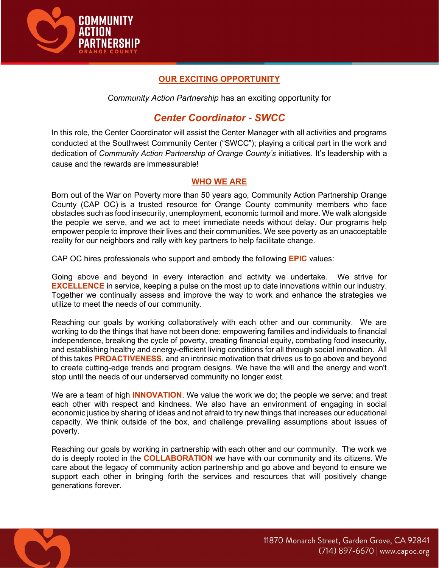

# OUR EXCITING OPPORTUNITY

Community Action Partnership has an exciting opportunity for

# Center Coordinator - SWCC

In this role, the Center Coordinator will assist the Center Manager with all activities and programs conducted at the Southwest Community Center ("SWCC"); playing a critical part in the work and dedication of Community Action Partnership of Orange County's initiatives. It's leadership with a cause and the rewards are immeasurable!

### WHO WE ARE

Born out of the War on Poverty more than 50 years ago, Community Action Partnership Orange County (CAP OC) is a trusted resource for Orange County community members who face obstacles such as food insecurity, unemployment, economic turmoil and more. We walk alongside the people we serve, and we act to meet immediate needs without delay. Our programs help empower people to improve their lives and their communities. We see poverty as an unacceptable reality for our neighbors and rally with key partners to help facilitate change.

CAP OC hires professionals who support and embody the following EPIC values:

Going above and beyond in every interaction and activity we undertake. We strive for EXCELLENCE in service, keeping a pulse on the most up to date innovations within our industry. Together we continually assess and improve the way to work and enhance the strategies we utilize to meet the needs of our community.

Reaching our goals by working collaboratively with each other and our community. We are working to do the things that have not been done: empowering families and individuals to financial independence, breaking the cycle of poverty, creating financial equity, combating food insecurity, and establishing healthy and energy-efficient living conditions for all through social innovation. All of this takes PROACTIVENESS, and an intrinsic motivation that drives us to go above and beyond to create cutting-edge trends and program designs. We have the will and the energy and won't stop until the needs of our underserved community no longer exist.

We are a team of high **INNOVATION**. We value the work we do; the people we serve; and treat each other with respect and kindness. We also have an environment of engaging in social economic justice by sharing of ideas and not afraid to try new things that increases our educational capacity. We think outside of the box, and challenge prevailing assumptions about issues of poverty.

Reaching our goals by working in partnership with each other and our community. The work we do is deeply rooted in the COLLABORATION we have with our community and its citizens. We care about the legacy of community action partnership and go above and beyond to ensure we support each other in bringing forth the services and resources that will positively change generations forever.

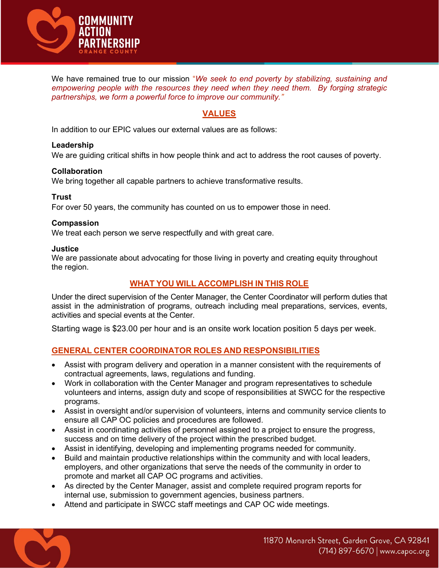

We have remained true to our mission "We seek to end poverty by stabilizing, sustaining and empowering people with the resources they need when they need them. By forging strategic partnerships, we form a powerful force to improve our community."

### VALUES

In addition to our EPIC values our external values are as follows:

#### Leadership

We are guiding critical shifts in how people think and act to address the root causes of poverty.

#### Collaboration

We bring together all capable partners to achieve transformative results.

#### Trust

For over 50 years, the community has counted on us to empower those in need.

#### Compassion

We treat each person we serve respectfully and with great care.

#### **Justice**

We are passionate about advocating for those living in poverty and creating equity throughout the region.

### WHAT YOU WILL ACCOMPLISH IN THIS ROLE

Under the direct supervision of the Center Manager, the Center Coordinator will perform duties that assist in the administration of programs, outreach including meal preparations, services, events, activities and special events at the Center.

Starting wage is \$23.00 per hour and is an onsite work location position 5 days per week.

### GENERAL CENTER COORDINATOR ROLES AND RESPONSIBILITIES

- Assist with program delivery and operation in a manner consistent with the requirements of contractual agreements, laws, regulations and funding.
- Work in collaboration with the Center Manager and program representatives to schedule volunteers and interns, assign duty and scope of responsibilities at SWCC for the respective programs.
- Assist in oversight and/or supervision of volunteers, interns and community service clients to ensure all CAP OC policies and procedures are followed.
- Assist in coordinating activities of personnel assigned to a project to ensure the progress, success and on time delivery of the project within the prescribed budget.
- Assist in identifying, developing and implementing programs needed for community.
- Build and maintain productive relationships within the community and with local leaders, employers, and other organizations that serve the needs of the community in order to promote and market all CAP OC programs and activities.
- As directed by the Center Manager, assist and complete required program reports for internal use, submission to government agencies, business partners.
- Attend and participate in SWCC staff meetings and CAP OC wide meetings.

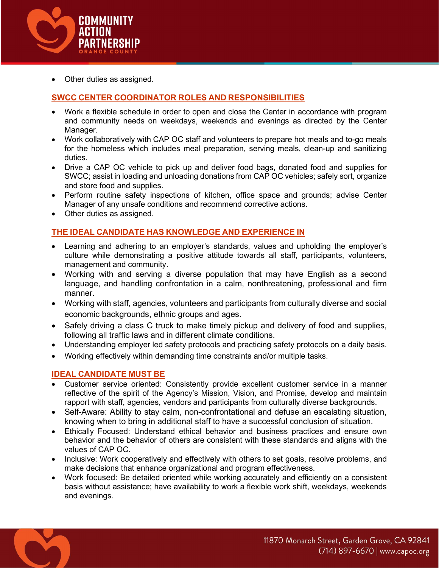

Other duties as assigned.

# SWCC CENTER COORDINATOR ROLES AND RESPONSIBILITIES

- Work a flexible schedule in order to open and close the Center in accordance with program and community needs on weekdays, weekends and evenings as directed by the Center Manager.
- Work collaboratively with CAP OC staff and volunteers to prepare hot meals and to-go meals for the homeless which includes meal preparation, serving meals, clean-up and sanitizing duties.
- Drive a CAP OC vehicle to pick up and deliver food bags, donated food and supplies for SWCC; assist in loading and unloading donations from CAP OC vehicles; safely sort, organize and store food and supplies.
- Perform routine safety inspections of kitchen, office space and grounds; advise Center Manager of any unsafe conditions and recommend corrective actions.
- Other duties as assigned.

### THE IDEAL CANDIDATE HAS KNOWLEDGE AND EXPERIENCE IN

- Learning and adhering to an employer's standards, values and upholding the employer's culture while demonstrating a positive attitude towards all staff, participants, volunteers, management and community.
- Working with and serving a diverse population that may have English as a second language, and handling confrontation in a calm, nonthreatening, professional and firm manner.
- Working with staff, agencies, volunteers and participants from culturally diverse and social economic backgrounds, ethnic groups and ages.
- Safely driving a class C truck to make timely pickup and delivery of food and supplies, following all traffic laws and in different climate conditions.
- Understanding employer led safety protocols and practicing safety protocols on a daily basis.
- Working effectively within demanding time constraints and/or multiple tasks.

### IDEAL CANDIDATE MUST BE

- Customer service oriented: Consistently provide excellent customer service in a manner reflective of the spirit of the Agency's Mission, Vision, and Promise, develop and maintain rapport with staff, agencies, vendors and participants from culturally diverse backgrounds.
- Self-Aware: Ability to stay calm, non-confrontational and defuse an escalating situation, knowing when to bring in additional staff to have a successful conclusion of situation.
- Ethically Focused: Understand ethical behavior and business practices and ensure own behavior and the behavior of others are consistent with these standards and aligns with the values of CAP OC.
- Inclusive: Work cooperatively and effectively with others to set goals, resolve problems, and make decisions that enhance organizational and program effectiveness.
- Work focused: Be detailed oriented while working accurately and efficiently on a consistent basis without assistance; have availability to work a flexible work shift, weekdays, weekends and evenings.

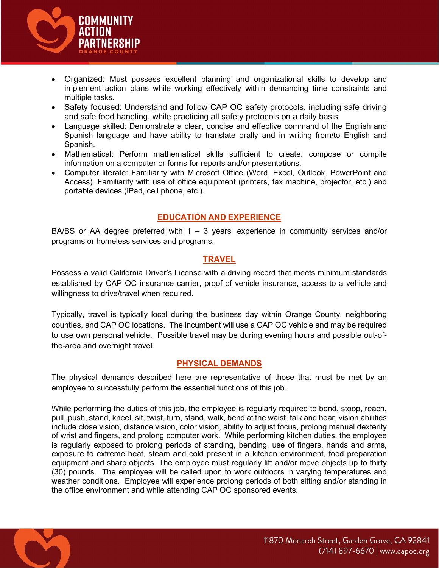

- Organized: Must possess excellent planning and organizational skills to develop and implement action plans while working effectively within demanding time constraints and multiple tasks.
- Safety focused: Understand and follow CAP OC safety protocols, including safe driving and safe food handling, while practicing all safety protocols on a daily basis
- Language skilled: Demonstrate a clear, concise and effective command of the English and Spanish language and have ability to translate orally and in writing from/to English and Spanish.
- Mathematical: Perform mathematical skills sufficient to create, compose or compile information on a computer or forms for reports and/or presentations.
- Computer literate: Familiarity with Microsoft Office (Word, Excel, Outlook, PowerPoint and Access). Familiarity with use of office equipment (printers, fax machine, projector, etc.) and portable devices (iPad, cell phone, etc.).

### EDUCATION AND EXPERIENCE

BA/BS or AA degree preferred with 1 – 3 years' experience in community services and/or programs or homeless services and programs.

#### **TRAVEL**

Possess a valid California Driver's License with a driving record that meets minimum standards established by CAP OC insurance carrier, proof of vehicle insurance, access to a vehicle and willingness to drive/travel when required.

Typically, travel is typically local during the business day within Orange County, neighboring counties, and CAP OC locations. The incumbent will use a CAP OC vehicle and may be required to use own personal vehicle. Possible travel may be during evening hours and possible out-ofthe-area and overnight travel.

#### PHYSICAL DEMANDS

The physical demands described here are representative of those that must be met by an employee to successfully perform the essential functions of this job.

While performing the duties of this job, the employee is regularly required to bend, stoop, reach, pull, push, stand, kneel, sit, twist, turn, stand, walk, bend at the waist, talk and hear, vision abilities include close vision, distance vision, color vision, ability to adjust focus, prolong manual dexterity of wrist and fingers, and prolong computer work. While performing kitchen duties, the employee is regularly exposed to prolong periods of standing, bending, use of fingers, hands and arms, exposure to extreme heat, steam and cold present in a kitchen environment, food preparation equipment and sharp objects. The employee must regularly lift and/or move objects up to thirty (30) pounds. The employee will be called upon to work outdoors in varying temperatures and weather conditions. Employee will experience prolong periods of both sitting and/or standing in the office environment and while attending CAP OC sponsored events.